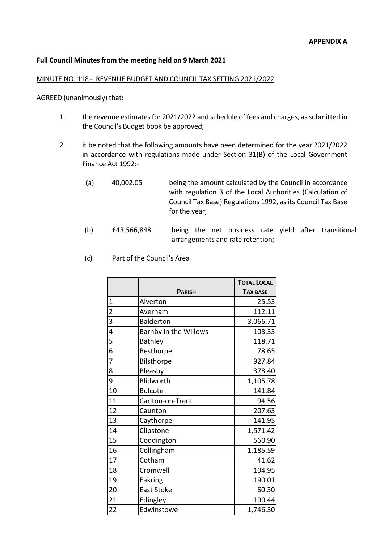# **Full Council Minutes from the meeting held on 9 March 2021**

#### MINUTE NO. 118 - REVENUE BUDGET AND COUNCIL TAX SETTING 2021/2022

AGREED (unanimously) that:

- 1. the revenue estimates for 2021/2022 and schedule of fees and charges, as submitted in the Council's Budget book be approved;
- 2. it be noted that the following amounts have been determined for the year 2021/2022 in accordance with regulations made under Section 31(B) of the Local Government Finance Act 1992:-
	- (a) 40,002.05 being the amount calculated by the Council in accordance with regulation 3 of the Local Authorities (Calculation of Council Tax Base) Regulations 1992, as its Council Tax Base for the year;
	- (b) £43,566,848 being the net business rate yield after transitional arrangements and rate retention;
	- (c) Part of the Council's Area

|                |                       | <b>TOTAL LOCAL</b> |
|----------------|-----------------------|--------------------|
|                | <b>PARISH</b>         | <b>TAX BASE</b>    |
| $\mathbf{1}$   | Alverton              | 25.53              |
| $\overline{2}$ | Averham               | 112.11             |
| $\overline{3}$ | <b>Balderton</b>      | 3,066.71           |
| 4              | Barnby in the Willows | 103.33             |
| 5              | <b>Bathley</b>        | 118.71             |
| 6              | Besthorpe             | 78.65              |
| 7              | Bilsthorpe            | 927.84             |
| 8              | Bleasby               | 378.40             |
| 9              | Blidworth             | 1,105.78           |
| 10             | <b>Bulcote</b>        | 141.84             |
| 11             | Carlton-on-Trent      | 94.56              |
| 12             | Caunton               | 207.63             |
| 13             | Caythorpe             | 141.95             |
| 14             | Clipstone             | 1,571.42           |
| 15             | Coddington            | 560.90             |
| 16             | Collingham            | 1,185.59           |
| 17             | Cotham                | 41.62              |
| 18             | Cromwell              | 104.95             |
| 19             | Eakring               | 190.01             |
| 20             | <b>East Stoke</b>     | 60.30              |
| 21             | Edingley              | 190.44             |
| 22             | Edwinstowe            | 1,746.30           |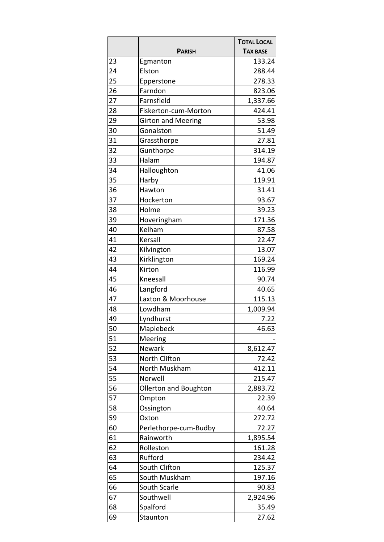|    |                           | <b>TOTAL LOCAL</b> |
|----|---------------------------|--------------------|
|    | <b>PARISH</b>             | <b>TAX BASE</b>    |
| 23 | Egmanton                  | 133.24             |
| 24 | Elston                    | 288.44             |
| 25 | Epperstone                | 278.33             |
| 26 | Farndon                   | 823.06             |
| 27 | Farnsfield                | 1,337.66           |
| 28 | Fiskerton-cum-Morton      | 424.41             |
| 29 | <b>Girton and Meering</b> | 53.98              |
| 30 | Gonalston                 | 51.49              |
| 31 | Grassthorpe               | 27.81              |
| 32 | Gunthorpe                 | 314.19             |
| 33 | Halam                     | 194.87             |
| 34 | Halloughton               | 41.06              |
| 35 | Harby                     | 119.91             |
| 36 | Hawton                    | 31.41              |
| 37 | Hockerton                 | 93.67              |
| 38 | Holme                     | 39.23              |
| 39 | Hoveringham               | 171.36             |
| 40 | Kelham                    | 87.58              |
| 41 | Kersall                   | 22.47              |
| 42 | Kilvington                | 13.07              |
| 43 | Kirklington               | 169.24             |
| 44 | Kirton                    | 116.99             |
| 45 | Kneesall                  | 90.74              |
| 46 | Langford                  | 40.65              |
| 47 | Laxton & Moorhouse        | 115.13             |
| 48 | Lowdham                   | 1,009.94           |
| 49 | Lyndhurst                 | 7.22               |
| 50 | Maplebeck                 | 46.63              |
| 51 | Meering                   |                    |
| 52 | Newark                    | 8,612.47           |
| 53 | North Clifton             | 72.42              |
| 54 | North Muskham             | 412.11             |
| 55 | Norwell                   | 215.47             |
| 56 | Ollerton and Boughton     | 2,883.72           |
| 57 | Ompton                    | 22.39              |
| 58 | Ossington                 | 40.64              |
| 59 | Oxton                     | 272.72             |
| 60 | Perlethorpe-cum-Budby     | 72.27              |
| 61 | Rainworth                 | 1,895.54           |
| 62 | Rolleston                 | 161.28             |
| 63 | Rufford                   | 234.42             |
| 64 | South Clifton             | 125.37             |
| 65 | South Muskham             | 197.16             |
| 66 | South Scarle              | 90.83              |
| 67 | Southwell                 | 2,924.96           |
| 68 | Spalford                  | 35.49              |
| 69 | Staunton                  | 27.62              |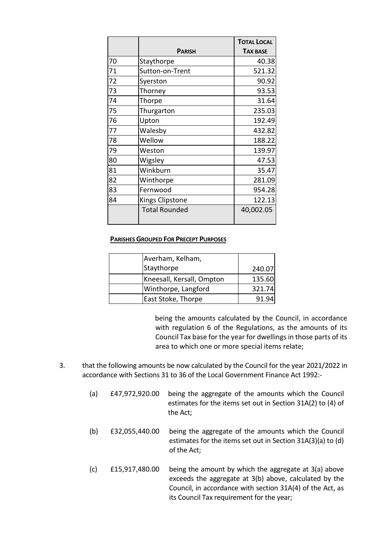|    |                      | <b>TOTAL LOCAL</b> |
|----|----------------------|--------------------|
|    | <b>PARISH</b>        | <b>TAX BASE</b>    |
| 70 | Staythorpe           | 40.38              |
| 71 | Sutton-on-Trent      | 521.32             |
| 72 | Syerston             | 90.92              |
| 73 | Thorney              | 93.53              |
| 74 | Thorpe               | 31.64              |
| 75 | Thurgarton           | 235.03             |
| 76 | Upton                | 192.49             |
| 77 | Walesby              | 432.82             |
| 78 | Wellow               | 188.22             |
| 79 | Weston               | 139.97             |
| 80 | Wigsley              | 47.53              |
| 81 | Winkburn             | 35.47              |
| 82 | Winthorpe            | 281.09             |
| 83 | Fernwood             | 954.28             |
| 84 | Kings Clipstone      | 122.13             |
|    | <b>Total Rounded</b> | 40,002.05          |

## **PARISHES GROUPED FOR PRECEPT PURPOSES**

| Averham, Kelham,          |        |
|---------------------------|--------|
| Staythorpe                | 240.07 |
| Kneesall, Kersall, Ompton | 135.60 |
| Winthorpe, Langford       | 321.74 |
| East Stoke, Thorpe        | 91.94  |

being the amounts calculated by the Council, in accordance with regulation 6 of the Regulations, as the amounts of its Council Tax base for the year for dwellings in those parts of its area to which one or more special items relate;

- 3. that the following amounts be now calculated by the Council for the year 2021/2022 in accordance with Sections 31 to 36 of the Local Government Finance Act 1992:-
	- (a) £47,972,920.00 being the aggregate of the amounts which the Council estimates for the items set out in Section 31A(2) to (4) of the Act;
	- (b) £32,055,440.00 being the aggregate of the amounts which the Council estimates for the items set out in Section 31A(3)(a) to (d) of the Act;
	- (c) £15,917,480.00 being the amount by which the aggregate at 3(a) above exceeds the aggregate at 3(b) above, calculated by the Council, in accordance with section 31A(4) of the Act, as its Council Tax requirement for the year;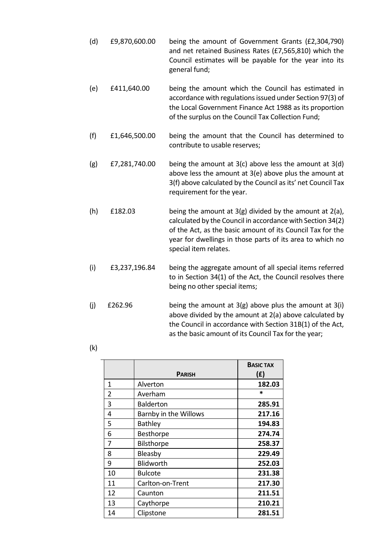- (d) £9,870,600.00 being the amount of Government Grants (£2,304,790) and net retained Business Rates (£7,565,810) which the Council estimates will be payable for the year into its general fund;
- (e) £411,640.00 being the amount which the Council has estimated in accordance with regulations issued under Section 97(3) of the Local Government Finance Act 1988 as its proportion of the surplus on the Council Tax Collection Fund;
- (f) £1,646,500.00 being the amount that the Council has determined to contribute to usable reserves;
- (g) £7,281,740.00 being the amount at 3(c) above less the amount at 3(d) above less the amount at 3(e) above plus the amount at 3(f) above calculated by the Council as its' net Council Tax requirement for the year.
- (h) £182.03 being the amount at 3(g) divided by the amount at 2(a), calculated by the Council in accordance with Section 34(2) of the Act, as the basic amount of its Council Tax for the year for dwellings in those parts of its area to which no special item relates.
- (i) £3,237,196.84 being the aggregate amount of all special items referred to in Section 34(1) of the Act, the Council resolves there being no other special items;
- (j)  $\pm 262.96$  being the amount at 3(g) above plus the amount at 3(i) above divided by the amount at 2(a) above calculated by the Council in accordance with Section 31B(1) of the Act, as the basic amount of its Council Tax for the year;
- (k)

|    |                       | <b>BASIC TAX</b> |
|----|-----------------------|------------------|
|    | <b>PARISH</b>         | (E)              |
| 1  | Alverton              | 182.03           |
| 2  | Averham               | $\ast$           |
| 3  | <b>Balderton</b>      | 285.91           |
| 4  | Barnby in the Willows | 217.16           |
| 5  | <b>Bathley</b>        | 194.83           |
| 6  | Besthorpe             | 274.74           |
| 7  | <b>Bilsthorpe</b>     | 258.37           |
| 8  | Bleasby               | 229.49           |
| 9  | Blidworth             | 252.03           |
| 10 | Bulcote               | 231.38           |
| 11 | Carlton-on-Trent      | 217.30           |
| 12 | Caunton               | 211.51           |
| 13 | Caythorpe             | 210.21           |
| 14 | Clipstone             | 281.51           |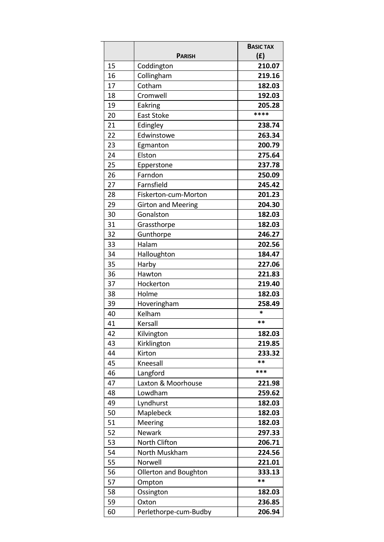|    | <b>PARISH</b>             | <b>BASIC TAX</b><br>(f) |
|----|---------------------------|-------------------------|
| 15 | Coddington                | 210.07                  |
| 16 | Collingham                | 219.16                  |
| 17 | Cotham                    | 182.03                  |
| 18 | Cromwell                  | 192.03                  |
| 19 | Eakring                   | 205.28                  |
| 20 | <b>East Stoke</b>         | ****                    |
| 21 | Edingley                  | 238.74                  |
| 22 | Edwinstowe                | 263.34                  |
| 23 | Egmanton                  | 200.79                  |
| 24 | Elston                    | 275.64                  |
| 25 | Epperstone                | 237.78                  |
| 26 | Farndon                   | 250.09                  |
| 27 | Farnsfield                | 245.42                  |
| 28 | Fiskerton-cum-Morton      | 201.23                  |
| 29 | <b>Girton and Meering</b> | 204.30                  |
| 30 | Gonalston                 | 182.03                  |
| 31 | Grassthorpe               | 182.03                  |
| 32 | Gunthorpe                 | 246.27                  |
| 33 | Halam                     | 202.56                  |
| 34 | Halloughton               | 184.47                  |
| 35 | Harby                     | 227.06                  |
| 36 | Hawton                    | 221.83                  |
| 37 | Hockerton                 | 219.40                  |
| 38 | Holme                     | 182.03                  |
| 39 | Hoveringham               | 258.49                  |
| 40 | Kelham                    | *                       |
| 41 | Kersall                   | **                      |
| 42 | Kilvington                | 182.03                  |
| 43 | Kirklington               | 219.85                  |
| 44 | Kirton                    | 233.32                  |
| 45 | Kneesall                  | **                      |
| 46 | Langford                  | ***                     |
| 47 | Laxton & Moorhouse        | 221.98                  |
| 48 | Lowdham                   | 259.62                  |
| 49 | Lyndhurst                 | 182.03                  |
| 50 | Maplebeck                 | 182.03                  |
| 51 | Meering                   | 182.03                  |
| 52 | <b>Newark</b>             | 297.33                  |
| 53 | North Clifton             | 206.71                  |
| 54 | North Muskham             | 224.56                  |
| 55 | Norwell                   | 221.01                  |
| 56 | Ollerton and Boughton     | 333.13                  |
| 57 | Ompton                    | **                      |
| 58 | Ossington                 | 182.03                  |
| 59 | Oxton                     | 236.85                  |
| 60 | Perlethorpe-cum-Budby     | 206.94                  |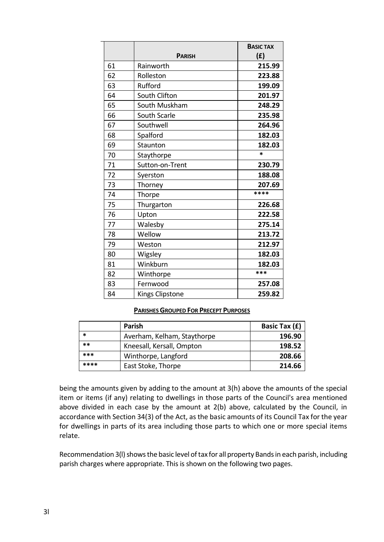|    |                        | <b>BASIC TAX</b> |
|----|------------------------|------------------|
|    | <b>PARISH</b>          | (f)              |
| 61 | Rainworth              | 215.99           |
| 62 | Rolleston              | 223.88           |
| 63 | Rufford                | 199.09           |
| 64 | South Clifton          | 201.97           |
| 65 | South Muskham          | 248.29           |
| 66 | South Scarle           | 235.98           |
| 67 | Southwell              | 264.96           |
| 68 | Spalford               | 182.03           |
| 69 | Staunton               | 182.03           |
| 70 | Staythorpe             | $\ast$           |
| 71 | Sutton-on-Trent        | 230.79           |
| 72 | Syerston               | 188.08           |
| 73 | Thorney                | 207.69           |
| 74 | Thorpe                 | ****             |
| 75 | Thurgarton             | 226.68           |
| 76 | Upton                  | 222.58           |
| 77 | Walesby                | 275.14           |
| 78 | Wellow                 | 213.72           |
| 79 | Weston                 | 212.97           |
| 80 | Wigsley                | 182.03           |
| 81 | Winkburn               | 182.03           |
| 82 | Winthorpe              | ***              |
| 83 | Fernwood               | 257.08           |
| 84 | <b>Kings Clipstone</b> | 259.82           |

### **PARISHES GROUPED FOR PRECEPT PURPOSES**

|      | <b>Parish</b>               | Basic Tax (£) |
|------|-----------------------------|---------------|
| *    | Averham, Kelham, Staythorpe | 196.90        |
| $**$ | Kneesall, Kersall, Ompton   | 198.52        |
| ***  | Winthorpe, Langford         | 208.66        |
| **** | East Stoke, Thorpe          | 214.66        |

being the amounts given by adding to the amount at 3(h) above the amounts of the special item or items (if any) relating to dwellings in those parts of the Council's area mentioned above divided in each case by the amount at 2(b) above, calculated by the Council, in accordance with Section 34(3) of the Act, as the basic amounts of its Council Tax for the year for dwellings in parts of its area including those parts to which one or more special items relate.

Recommendation 3(l) shows the basic level of tax for all property Bands in each parish, including parish charges where appropriate. This is shown on the following two pages.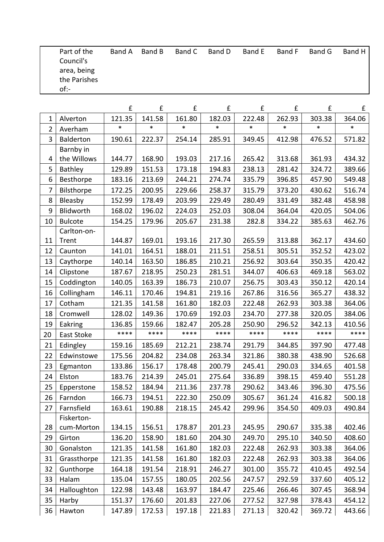| Part of the<br>Council's<br>area, being<br>the Parishes<br>of: | Band A | Band B | Band C | Band D | Band E | Band F | Band G | Band H |
|----------------------------------------------------------------|--------|--------|--------|--------|--------|--------|--------|--------|
|                                                                |        |        |        |        |        |        |        |        |

|                |                  | £      | £      | £      | £      | £      | £      | £      | £      |
|----------------|------------------|--------|--------|--------|--------|--------|--------|--------|--------|
| 1              | Alverton         | 121.35 | 141.58 | 161.80 | 182.03 | 222.48 | 262.93 | 303.38 | 364.06 |
| $\overline{2}$ | Averham          | *      | $\ast$ | $\ast$ | $\ast$ | *      | *      | $\ast$ | $\ast$ |
| 3              | <b>Balderton</b> | 190.61 | 222.37 | 254.14 | 285.91 | 349.45 | 412.98 | 476.52 | 571.82 |
|                | Barnby in        |        |        |        |        |        |        |        |        |
| 4              | the Willows      | 144.77 | 168.90 | 193.03 | 217.16 | 265.42 | 313.68 | 361.93 | 434.32 |
| 5              | Bathley          | 129.89 | 151.53 | 173.18 | 194.83 | 238.13 | 281.42 | 324.72 | 389.66 |
| 6              | Besthorpe        | 183.16 | 213.69 | 244.21 | 274.74 | 335.79 | 396.85 | 457.90 | 549.48 |
| $\overline{7}$ | Bilsthorpe       | 172.25 | 200.95 | 229.66 | 258.37 | 315.79 | 373.20 | 430.62 | 516.74 |
| 8              | Bleasby          | 152.99 | 178.49 | 203.99 | 229.49 | 280.49 | 331.49 | 382.48 | 458.98 |
| 9              | Blidworth        | 168.02 | 196.02 | 224.03 | 252.03 | 308.04 | 364.04 | 420.05 | 504.06 |
| 10             | <b>Bulcote</b>   | 154.25 | 179.96 | 205.67 | 231.38 | 282.8  | 334.22 | 385.63 | 462.76 |
|                | Carlton-on-      |        |        |        |        |        |        |        |        |
| 11             | Trent            | 144.87 | 169.01 | 193.16 | 217.30 | 265.59 | 313.88 | 362.17 | 434.60 |
| 12             | Caunton          | 141.01 | 164.51 | 188.01 | 211.51 | 258.51 | 305.51 | 352.52 | 423.02 |
| 13             | Caythorpe        | 140.14 | 163.50 | 186.85 | 210.21 | 256.92 | 303.64 | 350.35 | 420.42 |
| 14             | Clipstone        | 187.67 | 218.95 | 250.23 | 281.51 | 344.07 | 406.63 | 469.18 | 563.02 |
| 15             | Coddington       | 140.05 | 163.39 | 186.73 | 210.07 | 256.75 | 303.43 | 350.12 | 420.14 |
| 16             | Collingham       | 146.11 | 170.46 | 194.81 | 219.16 | 267.86 | 316.56 | 365.27 | 438.32 |
| 17             | Cotham           | 121.35 | 141.58 | 161.80 | 182.03 | 222.48 | 262.93 | 303.38 | 364.06 |
| 18             | Cromwell         | 128.02 | 149.36 | 170.69 | 192.03 | 234.70 | 277.38 | 320.05 | 384.06 |
| 19             | Eakring          | 136.85 | 159.66 | 182.47 | 205.28 | 250.90 | 296.52 | 342.13 | 410.56 |
| 20             | East Stoke       | ****   | ****   | ****   | ****   | ****   | ****   | ****   | ****   |
| 21             | Edingley         | 159.16 | 185.69 | 212.21 | 238.74 | 291.79 | 344.85 | 397.90 | 477.48 |
| 22             | Edwinstowe       | 175.56 | 204.82 | 234.08 | 263.34 | 321.86 | 380.38 | 438.90 | 526.68 |
| 23             | Egmanton         | 133.86 | 156.17 | 178.48 | 200.79 | 245.41 | 290.03 | 334.65 | 401.58 |
| 24             | Elston           | 183.76 | 214.39 | 245.01 | 275.64 | 336.89 | 398.15 | 459.40 | 551.28 |
| 25             | Epperstone       | 158.52 | 184.94 | 211.36 | 237.78 | 290.62 | 343.46 | 396.30 | 475.56 |
| 26             | Farndon          | 166.73 | 194.51 | 222.30 | 250.09 | 305.67 | 361.24 | 416.82 | 500.18 |
| 27             | Farnsfield       | 163.61 | 190.88 | 218.15 | 245.42 | 299.96 | 354.50 | 409.03 | 490.84 |
|                | Fiskerton-       |        |        |        |        |        |        |        |        |
| 28             | cum-Morton       | 134.15 | 156.51 | 178.87 | 201.23 | 245.95 | 290.67 | 335.38 | 402.46 |
| 29             | Girton           | 136.20 | 158.90 | 181.60 | 204.30 | 249.70 | 295.10 | 340.50 | 408.60 |
| 30             | Gonalston        | 121.35 | 141.58 | 161.80 | 182.03 | 222.48 | 262.93 | 303.38 | 364.06 |
| 31             | Grassthorpe      | 121.35 | 141.58 | 161.80 | 182.03 | 222.48 | 262.93 | 303.38 | 364.06 |
| 32             | Gunthorpe        | 164.18 | 191.54 | 218.91 | 246.27 | 301.00 | 355.72 | 410.45 | 492.54 |
| 33             | Halam            | 135.04 | 157.55 | 180.05 | 202.56 | 247.57 | 292.59 | 337.60 | 405.12 |
| 34             | Halloughton      | 122.98 | 143.48 | 163.97 | 184.47 | 225.46 | 266.46 | 307.45 | 368.94 |
| 35             | Harby            | 151.37 | 176.60 | 201.83 | 227.06 | 277.52 | 327.98 | 378.43 | 454.12 |
| 36             | Hawton           | 147.89 | 172.53 | 197.18 | 221.83 | 271.13 | 320.42 | 369.72 | 443.66 |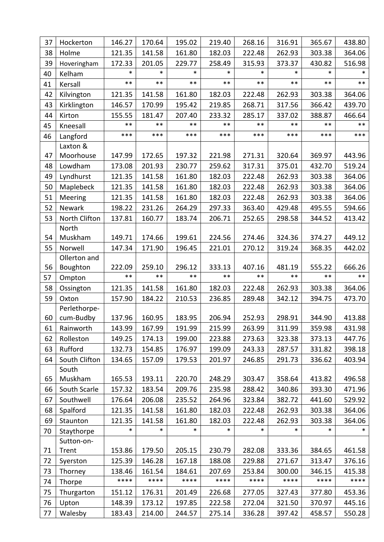| 37 | Hockerton                 | 146.27          | 170.64          | 195.02          | 219.40          | 268.16          | 316.91          | 365.67          | 438.80          |
|----|---------------------------|-----------------|-----------------|-----------------|-----------------|-----------------|-----------------|-----------------|-----------------|
| 38 | Holme                     | 121.35          | 141.58          | 161.80          | 182.03          | 222.48          | 262.93          | 303.38          | 364.06          |
| 39 | Hoveringham               | 172.33          | 201.05          | 229.77          | 258.49          | 315.93          | 373.37          | 430.82          | 516.98          |
| 40 | Kelham                    | $\ast$          | $\ast$          | $\ast$          | $\ast$          | $\ast$          | $\ast$          | $\ast$          | $\ast$          |
| 41 | Kersall                   | $***$           | $***$           | $***$           | $***$           | $***$           | $***$           | $***$           | $***$           |
| 42 | Kilvington                | 121.35          | 141.58          | 161.80          | 182.03          | 222.48          | 262.93          | 303.38          | 364.06          |
| 43 | Kirklington               | 146.57          | 170.99          | 195.42          | 219.85          | 268.71          | 317.56          | 366.42          | 439.70          |
| 44 | Kirton                    | 155.55          | 181.47          | 207.40          | 233.32          | 285.17          | 337.02          | 388.87          | 466.64          |
| 45 | Kneesall                  | $***$           | $***$           | $***$           | $***$           | $***$           | $***$           | $***$           | $***$           |
| 46 | Langford                  | ***             | ***             | $***$           | ***             | $***$           | ***             | $***$           | $***$           |
|    | Laxton &                  |                 |                 |                 |                 |                 |                 |                 |                 |
| 47 | Moorhouse                 | 147.99          | 172.65          | 197.32          | 221.98          | 271.31          | 320.64          | 369.97          | 443.96          |
| 48 | Lowdham                   | 173.08          | 201.93          | 230.77          | 259.62          | 317.31          | 375.01          | 432.70          | 519.24          |
| 49 | Lyndhurst                 | 121.35          | 141.58          | 161.80          | 182.03          | 222.48          | 262.93          | 303.38          | 364.06          |
| 50 | Maplebeck                 | 121.35          | 141.58          | 161.80          | 182.03          | 222.48          | 262.93          | 303.38          | 364.06          |
| 51 | Meering                   | 121.35          | 141.58          | 161.80          | 182.03          | 222.48          | 262.93          | 303.38          | 364.06          |
| 52 | Newark                    | 198.22          | 231.26          | 264.29          | 297.33          | 363.40          | 429.48          | 495.55          | 594.66          |
| 53 | North Clifton             | 137.81          | 160.77          | 183.74          | 206.71          | 252.65          | 298.58          | 344.52          | 413.42          |
|    | North                     |                 |                 |                 |                 |                 |                 |                 |                 |
| 54 | Muskham                   | 149.71          | 174.66          | 199.61          | 224.56          | 274.46          | 324.36          | 374.27          | 449.12          |
| 55 | Norwell                   | 147.34          | 171.90          | 196.45          | 221.01          | 270.12          | 319.24          | 368.35          | 442.02          |
|    | Ollerton and              |                 |                 |                 |                 |                 |                 |                 |                 |
| 56 | Boughton                  | 222.09<br>$***$ | 259.10<br>$***$ | 296.12<br>$***$ | 333.13<br>$***$ | 407.16<br>$***$ | 481.19<br>$***$ | 555.22<br>$***$ | 666.26<br>$***$ |
| 57 | Ompton                    |                 |                 |                 |                 |                 |                 |                 |                 |
| 58 | Ossington                 | 121.35          | 141.58          | 161.80          | 182.03          | 222.48          | 262.93          | 303.38          | 364.06          |
| 59 | Oxton                     | 157.90          | 184.22          | 210.53          | 236.85          | 289.48          | 342.12          | 394.75          | 473.70          |
| 60 | Perlethorpe-<br>cum-Budby | 137.96          | 160.95          | 183.95          | 206.94          | 252.93          | 298.91          | 344.90          | 413.88          |
| 61 | Rainworth                 | 143.99          | 167.99          | 191.99          | 215.99          | 263.99          | 311.99          | 359.98          | 431.98          |
| 62 | Rolleston                 | 149.25          | 174.13          | 199.00          | 223.88          | 273.63          | 323.38          | 373.13          | 447.76          |
| 63 | Rufford                   | 132.73          | 154.85          | 176.97          | 199.09          | 243.33          | 287.57          | 331.82          | 398.18          |
| 64 | South Clifton             | 134.65          | 157.09          | 179.53          | 201.97          | 246.85          | 291.73          | 336.62          | 403.94          |
|    | South                     |                 |                 |                 |                 |                 |                 |                 |                 |
| 65 | Muskham                   | 165.53          | 193.11          | 220.70          | 248.29          | 303.47          | 358.64          | 413.82          | 496.58          |
| 66 | South Scarle              | 157.32          | 183.54          | 209.76          | 235.98          | 288.42          | 340.86          | 393.30          | 471.96          |
| 67 | Southwell                 | 176.64          | 206.08          | 235.52          | 264.96          | 323.84          | 382.72          | 441.60          | 529.92          |
| 68 | Spalford                  | 121.35          | 141.58          | 161.80          | 182.03          | 222.48          | 262.93          | 303.38          | 364.06          |
| 69 | Staunton                  | 121.35          | 141.58          | 161.80          | 182.03          | 222.48          | 262.93          | 303.38          | 364.06          |
| 70 | Staythorpe                | *               | $\ast$          | $\ast$          | $\ast$          | $\ast$          | $\ast$          | $\ast$          | *               |
|    | Sutton-on-                |                 |                 |                 |                 |                 |                 |                 |                 |
| 71 | Trent                     | 153.86          | 179.50          | 205.15          | 230.79          | 282.08          | 333.36          | 384.65          | 461.58          |
| 72 | Syerston                  | 125.39          | 146.28          | 167.18          | 188.08          | 229.88          | 271.67          | 313.47          | 376.16          |
| 73 | Thorney                   | 138.46          | 161.54          | 184.61          | 207.69          | 253.84          | 300.00          | 346.15          | 415.38          |
| 74 | Thorpe                    | ****            | ****            | ****            | ****            | ****            | ****            | ****            | ****            |
| 75 | Thurgarton                | 151.12          | 176.31          | 201.49          | 226.68          | 277.05          | 327.43          | 377.80          | 453.36          |
| 76 | Upton                     | 148.39          | 173.12          | 197.85          | 222.58          | 272.04          | 321.50          | 370.97          | 445.16          |
| 77 | Walesby                   | 183.43          | 214.00          | 244.57          | 275.14          | 336.28          | 397.42          | 458.57          | 550.28          |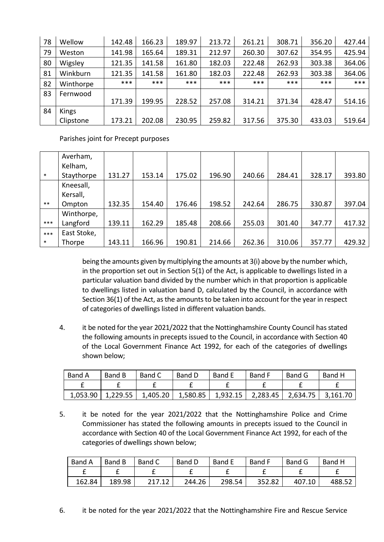| 78 | Wellow    | 142.48 | 166.23 | 189.97 | 213.72 | 261.21 | 308.71 | 356.20 | 427.44 |
|----|-----------|--------|--------|--------|--------|--------|--------|--------|--------|
| 79 | Weston    | 141.98 | 165.64 | 189.31 | 212.97 | 260.30 | 307.62 | 354.95 | 425.94 |
| 80 | Wigsley   | 121.35 | 141.58 | 161.80 | 182.03 | 222.48 | 262.93 | 303.38 | 364.06 |
| 81 | Winkburn  | 121.35 | 141.58 | 161.80 | 182.03 | 222.48 | 262.93 | 303.38 | 364.06 |
| 82 | Winthorpe | ***    | ***    | ***    | ***    | ***    | ***    | ***    | ***    |
| 83 | Fernwood  |        |        |        |        |        |        |        |        |
|    |           | 171.39 | 199.95 | 228.52 | 257.08 | 314.21 | 371.34 | 428.47 | 514.16 |
| 84 | Kings     |        |        |        |        |        |        |        |        |
|    | Clipstone | 173.21 | 202.08 | 230.95 | 259.82 | 317.56 | 375.30 | 433.03 | 519.64 |

Parishes joint for Precept purposes

|        | Averham,    |        |        |        |        |        |        |        |        |
|--------|-------------|--------|--------|--------|--------|--------|--------|--------|--------|
|        | Kelham,     |        |        |        |        |        |        |        |        |
| $\ast$ | Staythorpe  | 131.27 | 153.14 | 175.02 | 196.90 | 240.66 | 284.41 | 328.17 | 393.80 |
|        | Kneesall,   |        |        |        |        |        |        |        |        |
|        | Kersall,    |        |        |        |        |        |        |        |        |
| $***$  | Ompton      | 132.35 | 154.40 | 176.46 | 198.52 | 242.64 | 286.75 | 330.87 | 397.04 |
|        | Winthorpe,  |        |        |        |        |        |        |        |        |
| ***    | Langford    | 139.11 | 162.29 | 185.48 | 208.66 | 255.03 | 301.40 | 347.77 | 417.32 |
| $***$  | East Stoke, |        |        |        |        |        |        |        |        |
| $\ast$ | Thorpe      | 143.11 | 166.96 | 190.81 | 214.66 | 262.36 | 310.06 | 357.77 | 429.32 |

being the amounts given by multiplying the amounts at 3(i) above by the number which, in the proportion set out in Section 5(1) of the Act, is applicable to dwellings listed in a particular valuation band divided by the number which in that proportion is applicable to dwellings listed in valuation band D, calculated by the Council, in accordance with Section 36(1) of the Act, as the amounts to be taken into account for the year in respect of categories of dwellings listed in different valuation bands.

4. it be noted for the year 2021/2022 that the Nottinghamshire County Council has stated the following amounts in precepts issued to the Council, in accordance with Section 40 of the Local Government Finance Act 1992, for each of the categories of dwellings shown below;

| Band A   | Band B   | Band C   | Band D   | <b>Band E</b> | <b>Band F</b> | Band G   | Band H   |
|----------|----------|----------|----------|---------------|---------------|----------|----------|
|          |          |          |          |               |               |          |          |
| 1,053.90 | 1,229.55 | 1,405.20 | 1,580.85 | 1,932.15      | 2,283.45      | 2,634.75 | 3,161.70 |

5. it be noted for the year 2021/2022 that the Nottinghamshire Police and Crime Commissioner has stated the following amounts in precepts issued to the Council in accordance with Section 40 of the Local Government Finance Act 1992, for each of the categories of dwellings shown below;

| Band A | Band B | Band C | Band D | <b>Band E</b> | <b>Band F</b> | Band G | Band H |
|--------|--------|--------|--------|---------------|---------------|--------|--------|
|        |        |        |        |               |               |        |        |
| 162.84 | 189.98 | 217 12 | 244.26 | 298.54        | 352.82        | 407.10 | 488.52 |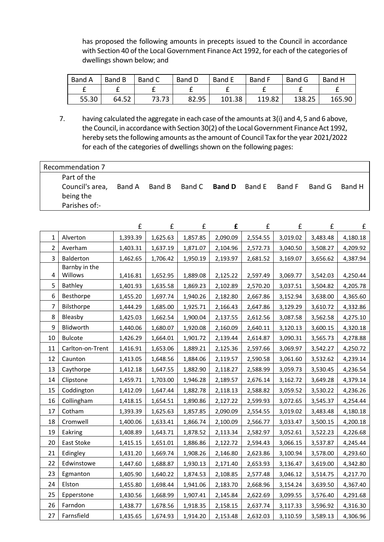has proposed the following amounts in precepts issued to the Council in accordance with Section 40 of the Local Government Finance Act 1992, for each of the categories of dwellings shown below; and

| Band A | Band B | Band C | Band D | Band E | Band F | Band G | Band H |
|--------|--------|--------|--------|--------|--------|--------|--------|
|        |        |        |        |        |        |        |        |
| 55.30  | 64.52  | 73.73  | 82.95  | 101.38 | 119.82 | 138.25 | 165.90 |

7. having calculated the aggregate in each case of the amounts at 3(i) and 4, 5 and 6 above, the Council, in accordance with Section 30(2) of the Local Government Finance Act 1992, hereby sets the following amounts as the amount of Council Tax for the year 2021/2022 for each of the categories of dwellings shown on the following pages:

| Recommendation 7                            |        |  |                                           |  |        |        |
|---------------------------------------------|--------|--|-------------------------------------------|--|--------|--------|
| Part of the<br>Council's area,<br>being the | Band A |  | Band B Band C <b>Band D</b> Band E Band F |  | Band G | Band H |
| Parishes of:-                               |        |  |                                           |  |        |        |

|                |                  | £        | £        | £        | £        | £        | £        | £        | £        |
|----------------|------------------|----------|----------|----------|----------|----------|----------|----------|----------|
| $\mathbf{1}$   | Alverton         | 1,393.39 | 1,625.63 | 1,857.85 | 2,090.09 | 2,554.55 | 3,019.02 | 3,483.48 | 4,180.18 |
| $\overline{2}$ | Averham          | 1,403.31 | 1,637.19 | 1,871.07 | 2,104.96 | 2,572.73 | 3,040.50 | 3,508.27 | 4,209.92 |
| 3              | Balderton        | 1,462.65 | 1,706.42 | 1,950.19 | 2,193.97 | 2,681.52 | 3,169.07 | 3,656.62 | 4,387.94 |
|                | Barnby in the    |          |          |          |          |          |          |          |          |
| 4              | Willows          | 1,416.81 | 1,652.95 | 1,889.08 | 2,125.22 | 2,597.49 | 3,069.77 | 3,542.03 | 4,250.44 |
| 5              | Bathley          | 1,401.93 | 1,635.58 | 1,869.23 | 2,102.89 | 2,570.20 | 3,037.51 | 3,504.82 | 4,205.78 |
| 6              | Besthorpe        | 1,455.20 | 1,697.74 | 1,940.26 | 2,182.80 | 2,667.86 | 3,152.94 | 3,638.00 | 4,365.60 |
| 7              | Bilsthorpe       | 1,444.29 | 1,685.00 | 1,925.71 | 2,166.43 | 2,647.86 | 3,129.29 | 3,610.72 | 4,332.86 |
| 8              | Bleasby          | 1,425.03 | 1,662.54 | 1,900.04 | 2,137.55 | 2,612.56 | 3,087.58 | 3,562.58 | 4,275.10 |
| 9              | Blidworth        | 1,440.06 | 1,680.07 | 1,920.08 | 2,160.09 | 2,640.11 | 3,120.13 | 3,600.15 | 4,320.18 |
| 10             | <b>Bulcote</b>   | 1,426.29 | 1,664.01 | 1,901.72 | 2,139.44 | 2,614.87 | 3,090.31 | 3,565.73 | 4,278.88 |
| 11             | Carlton-on-Trent | 1,416.91 | 1,653.06 | 1,889.21 | 2,125.36 | 2,597.66 | 3,069.97 | 3,542.27 | 4,250.72 |
| 12             | Caunton          | 1,413.05 | 1,648.56 | 1,884.06 | 2,119.57 | 2,590.58 | 3,061.60 | 3,532.62 | 4,239.14 |
| 13             | Caythorpe        | 1,412.18 | 1,647.55 | 1,882.90 | 2,118.27 | 2,588.99 | 3,059.73 | 3,530.45 | 4,236.54 |
| 14             | Clipstone        | 1,459.71 | 1,703.00 | 1,946.28 | 2,189.57 | 2,676.14 | 3,162.72 | 3,649.28 | 4,379.14 |
| 15             | Coddington       | 1,412.09 | 1,647.44 | 1,882.78 | 2,118.13 | 2,588.82 | 3,059.52 | 3,530.22 | 4,236.26 |
| 16             | Collingham       | 1,418.15 | 1,654.51 | 1,890.86 | 2,127.22 | 2,599.93 | 3,072.65 | 3,545.37 | 4,254.44 |
| 17             | Cotham           | 1,393.39 | 1,625.63 | 1,857.85 | 2,090.09 | 2,554.55 | 3,019.02 | 3,483.48 | 4,180.18 |
| 18             | Cromwell         | 1,400.06 | 1,633.41 | 1,866.74 | 2,100.09 | 2,566.77 | 3,033.47 | 3,500.15 | 4,200.18 |
| 19             | Eakring          | 1,408.89 | 1,643.71 | 1,878.52 | 2,113.34 | 2,582.97 | 3,052.61 | 3,522.23 | 4,226.68 |
| 20             | East Stoke       | 1,415.15 | 1,651.01 | 1,886.86 | 2,122.72 | 2,594.43 | 3,066.15 | 3,537.87 | 4,245.44 |
| 21             | Edingley         | 1,431.20 | 1,669.74 | 1,908.26 | 2,146.80 | 2,623.86 | 3,100.94 | 3,578.00 | 4,293.60 |
| 22             | Edwinstowe       | 1,447.60 | 1,688.87 | 1,930.13 | 2,171.40 | 2,653.93 | 3,136.47 | 3,619.00 | 4,342.80 |
| 23             | Egmanton         | 1,405.90 | 1,640.22 | 1,874.53 | 2,108.85 | 2,577.48 | 3,046.12 | 3,514.75 | 4,217.70 |
| 24             | Elston           | 1,455.80 | 1,698.44 | 1,941.06 | 2,183.70 | 2,668.96 | 3,154.24 | 3,639.50 | 4,367.40 |
| 25             | Epperstone       | 1,430.56 | 1,668.99 | 1,907.41 | 2,145.84 | 2,622.69 | 3,099.55 | 3,576.40 | 4,291.68 |
| 26             | Farndon          | 1,438.77 | 1,678.56 | 1,918.35 | 2,158.15 | 2,637.74 | 3,117.33 | 3,596.92 | 4,316.30 |
| 27             | Farnsfield       | 1,435.65 | 1,674.93 | 1,914.20 | 2,153.48 | 2,632.03 | 3,110.59 | 3,589.13 | 4,306.96 |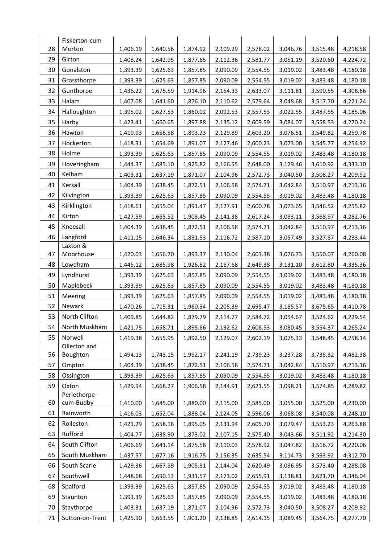|          | Fiskerton-cum-            |                      |                      |                      |                      |                      |                      |                      |                      |
|----------|---------------------------|----------------------|----------------------|----------------------|----------------------|----------------------|----------------------|----------------------|----------------------|
| 28       | Morton                    | 1,406.19             | 1,640.56             | 1,874.92             | 2,109.29             | 2,578.02             | 3,046.76             | 3,515.48             | 4,218.58             |
| 29       | Girton                    | 1,408.24             | 1,642.95             | 1,877.65             | 2,112.36             | 2,581.77             | 3,051.19             | 3,520.60             | 4,224.72             |
| 30       | Gonalston                 | 1,393.39             | 1,625.63             | 1,857.85             | 2,090.09             | 2,554.55             | 3,019.02             | 3,483.48             | 4,180.18             |
| 31       | Grassthorpe               | 1,393.39             | 1,625.63             | 1,857.85             | 2,090.09             | 2,554.55             | 3,019.02             | 3,483.48             | 4,180.18             |
| 32       | Gunthorpe                 | 1,436.22             | 1,675.59             | 1,914.96             | 2,154.33             | 2,633.07             | 3,111.81             | 3,590.55             | 4,308.66             |
| 33       | Halam                     | 1,407.08             | 1,641.60             | 1,876.10             | 2,110.62             | 2,579.64             | 3,048.68             | 3,517.70             | 4,221.24             |
| 34       | Halloughton               | 1,395.02             | 1,627.53             | 1,860.02             | 2,092.53             | 2,557.53             | 3,022.55             | 3,487.55             | 4,185.06             |
| 35       | Harby                     | 1,423.41             | 1,660.65             | 1,897.88             | 2,135.12             | 2,609.59             | 3,084.07             | 3,558.53             | 4,270.24             |
| 36       | Hawton                    | 1,419.93             | 1,656.58             | 1,893.23             | 2,129.89             | 2,603.20             | 3,076.51             | 3,549.82             | 4,259.78             |
| 37       | Hockerton                 | 1,418.31             | 1,654.69             | 1,891.07             | 2,127.46             | 2,600.23             | 3,073.00             | 3,545.77             | 4,254.92             |
| 38       | Holme                     | 1,393.39             | 1,625.63             | 1,857.85             | 2,090.09             | 2,554.55             | 3,019.02             | 3,483.48             | 4,180.18             |
| 39       | Hoveringham               | 1,444.37             | 1,685.10             | 1,925.82             | 2,166.55             | 2,648.00             | 3,129.46             | 3,610.92             | 4,333.10             |
| 40       | Kelham                    | 1,403.31             | 1,637.19             | 1,871.07             | 2,104.96             | 2,572.73             | 3,040.50             | 3,508.27             | 4,209.92             |
| 41       | Kersall                   | 1,404.39             | 1,638.45             | 1,872.51             | 2,106.58             | 2,574.71             | 3,042.84             | 3,510.97             | 4,213.16             |
| 42       | Kilvington                | 1,393.39             | 1,625.63             | 1,857.85             | 2,090.09             | 2,554.55             | 3,019.02             | 3,483.48             | 4,180.18             |
| 43       | Kirklington               | 1,418.61             | 1,655.04             | 1,891.47             | 2,127.91             | 2,600.78             | 3,073.65             | 3,546.52             | 4,255.82             |
| 44       | Kirton                    | 1,427.59             | 1,665.52             | 1,903.45             | 2,141.38             | 2,617.24             | 3,093.11             | 3,568.97             | 4,282.76             |
| 45       | Kneesall                  | 1,404.39             | 1,638.45             | 1,872.51             | 2,106.58             | 2,574.71             | 3,042.84             | 3,510.97             | 4,213.16             |
| 46       | Langford                  | 1,411.15             | 1,646.34             | 1,881.53             | 2,116.72             | 2,587.10             | 3,057.49             | 3,527.87             | 4,233.44             |
|          | Laxton &                  |                      |                      |                      |                      |                      |                      |                      |                      |
| 47<br>48 | Moorhouse<br>Lowdham      | 1,420.03             | 1,656.70             | 1,893.37             | 2,130.04             | 2,603.38             | 3,076.73             | 3,550.07             | 4,260.08             |
| 49       | Lyndhurst                 | 1,445.12<br>1,393.39 | 1,685.98<br>1,625.63 | 1,926.82<br>1,857.85 | 2,167.68<br>2,090.09 | 2,649.38<br>2,554.55 | 3,131.10<br>3,019.02 | 3,612.80<br>3,483.48 | 4,335.36<br>4,180.18 |
| 50       | Maplebeck                 | 1,393.39             | 1,625.63             | 1,857.85             | 2,090.09             | 2,554.55             | 3,019.02             | 3,483.48             | 4,180.18             |
| 51       | Meering                   | 1,393.39             | 1,625.63             | 1,857.85             | 2,090.09             | 2,554.55             | 3,019.02             | 3,483.48             | 4,180.18             |
| 52       | Newark                    | 1,470.26             | 1,715.31             | 1,960.34             | 2,205.39             | 2,695.47             | 3,185.57             | 3,675.65             | 4,410.78             |
| 53       | North Clifton             | 1,409.85             | 1,644.82             | 1,879.79             | 2,114.77             | 2,584.72             | 3,054.67             | 3,524.62             | 4,229.54             |
| 54       | North Muskham             | 1,421.75             | 1,658.71             | 1,895.66             | 2,132.62             | 2,606.53             | 3,080.45             | 3,554.37             | 4,265.24             |
| 55       | Norwell                   | 1,419.38             | 1,655.95             | 1,892.50             | 2,129.07             | 2,602.19             | 3,075.33             | 3,548.45             | 4,258.14             |
|          | Ollerton and              |                      |                      |                      |                      |                      |                      |                      |                      |
| 56       | Boughton                  | 1,494.13             | 1,743.15             | 1,992.17             | 2,241.19             | 2,739.23             | 3,237.28             | 3,735.32             | 4,482.38             |
| 57       | Ompton                    | 1,404.39             | 1,638.45             | 1,872.51             | 2,106.58             | 2,574.71             | 3,042.84             | 3,510.97             | 4,213.16             |
| 58       | Ossington                 | 1,393.39             | 1,625.63             | 1,857.85             | 2,090.09             | 2,554.55             | 3,019.02             | 3,483.48             | 4,180.18             |
| 59       | Oxton                     | 1,429.94             | 1,668.27             | 1,906.58             | 2,144.91             | 2,621.55             | 3,098.21             | 3,574.85             | 4,289.82             |
| 60       | Perlethorpe-<br>cum-Budby | 1,410.00             | 1,645.00             | 1,880.00             | 2,115.00             | 2,585.00             | 3,055.00             | 3,525.00             | 4,230.00             |
| 61       | Rainworth                 | 1,416.03             | 1,652.04             | 1,888.04             | 2,124.05             | 2,596.06             | 3,068.08             | 3,540.08             | 4,248.10             |
| 62       | Rolleston                 | 1,421.29             | 1,658.18             | 1,895.05             | 2,131.94             | 2,605.70             | 3,079.47             | 3,553.23             | 4,263.88             |
| 63       | Rufford                   | 1,404.77             | 1,638.90             | 1,873.02             | 2,107.15             | 2,575.40             | 3,043.66             | 3,511.92             | 4,214.30             |
| 64       | South Clifton             | 1,406.69             | 1,641.14             | 1,875.58             | 2,110.03             | 2,578.92             | 3,047.82             | 3,516.72             | 4,220.06             |
| 65       | South Muskham             | 1,437.57             | 1,677.16             | 1,916.75             | 2,156.35             | 2,635.54             | 3,114.73             | 3,593.92             | 4,312.70             |
| 66       | South Scarle              | 1,429.36             | 1,667.59             | 1,905.81             | 2,144.04             | 2,620.49             | 3,096.95             | 3,573.40             | 4,288.08             |
| 67       | Southwell                 | 1,448.68             | 1,690.13             | 1,931.57             | 2,173.02             | 2,655.91             | 3,138.81             | 3,621.70             | 4,346.04             |
| 68       | Spalford                  | 1,393.39             | 1,625.63             | 1,857.85             | 2,090.09             | 2,554.55             | 3,019.02             | 3,483.48             | 4,180.18             |
| 69       | Staunton                  | 1,393.39             | 1,625.63             | 1,857.85             | 2,090.09             | 2,554.55             | 3,019.02             | 3,483.48             | 4,180.18             |
| 70       | Staythorpe                | 1,403.31             | 1,637.19             | 1,871.07             | 2,104.96             | 2,572.73             | 3,040.50             | 3,508.27             | 4,209.92             |
| 71       | Sutton-on-Trent           | 1,425.90             | 1,663.55             | 1,901.20             | 2,138.85             | 2,614.15             | 3,089.45             | 3,564.75             | 4,277.70             |